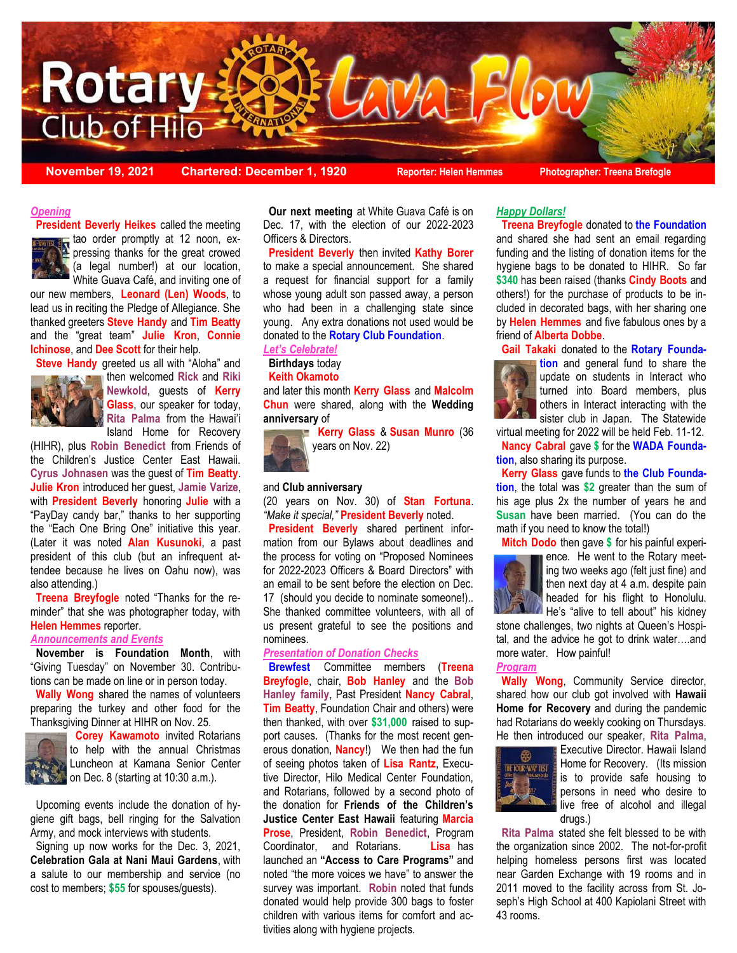

**November 19, 2021 Chartered: December 1, 1920 Reporter: Helen Hemmes Photographer: Treena Brefogle**

#### *Opening*

 (a legal number!) at our location, **President Beverly Heikes** called the meeting tao order promptly at 12 noon, expressing thanks for the great crowed

White Guava Café, and inviting one of our new members, **Leonard (Len) Woods**, to lead us in reciting the Pledge of Allegiance. She thanked greeters **Steve Handy** and **Tim Beatty** and the "great team" **Julie Kron**, **Connie Ichinose**, and **Dee Scott** for their help.

**Steve Handy** greeted us all with "Aloha" and



then welcomed **Rick** and **Riki Newkold**, guests of **Kerry Glass**, our speaker for today, **Rita Palma** from the Hawai'i Island Home for Recovery

(HIHR), plus **Robin Benedict** from Friends of the Children's Justice Center East Hawaii. **Cyrus Johnasen** was the guest of **Tim Beatty**. **Julie Kron** introduced her guest, **Jamie Varize**, with **President Beverly** honoring **Julie** with a "PayDay candy bar," thanks to her supporting the "Each One Bring One" initiative this year. (Later it was noted **Alan Kusunoki**, a past president of this club (but an infrequent attendee because he lives on Oahu now), was also attending.)

 **Treena Breyfogle** noted "Thanks for the reminder" that she was photographer today, with **Helen Hemmes** reporter.

### *Announcements and Events*

 **November is Foundation Month**, with "Giving Tuesday" on November 30. Contributions can be made on line or in person today.

 **Wally Wong** shared the names of volunteers preparing the turkey and other food for the Thanksgiving Dinner at HIHR on Nov. 25.



 **Corey Kawamoto** invited Rotarians to help with the annual Christmas Luncheon at Kamana Senior Center on Dec. 8 (starting at 10:30 a.m.).

 Upcoming events include the donation of hygiene gift bags, bell ringing for the Salvation Army, and mock interviews with students.

 Signing up now works for the Dec. 3, 2021, **Celebration Gala at Nani Maui Gardens**, with a salute to our membership and service (no cost to members; **\$55** for spouses/guests).

 **Our next meeting** at White Guava Café is on Dec. 17, with the election of our 2022-2023 Officers & Directors.

 **President Beverly** then invited **Kathy Borer** to make a special announcement. She shared a request for financial support for a family whose young adult son passed away, a person who had been in a challenging state since young. Any extra donations not used would be donated to the **Rotary Club Foundation**.

## *Let's Celebrate!*

#### **Birthdays** today  **Keith Okamoto**

and later this month **Kerry Glass** and **Malcolm Chun** were shared, along with the **Wedding anniversary** of

 **Kerry Glass** & **Susan Munro** (36 years on Nov. 22)

#### and **Club anniversary**

(20 years on Nov. 30) of **Stan Fortuna**. *"Make it special,"* **President Beverly** noted.

 **President Beverly** shared pertinent information from our Bylaws about deadlines and the process for voting on "Proposed Nominees for 2022-2023 Officers & Board Directors" with an email to be sent before the election on Dec. 17 (should you decide to nominate someone!).. She thanked committee volunteers, with all of us present grateful to see the positions and nominees.

#### *Presentation of Donation Checks*

 **Brewfest** Committee members (**Treena Breyfogle**, chair, **Bob Hanley** and the **Bob Hanley family**, Past President **Nancy Cabral**, **Tim Beatty**, Foundation Chair and others) were then thanked, with over **\$31,000** raised to support causes. (Thanks for the most recent generous donation, **Nancy**!) We then had the fun of seeing photos taken of **Lisa Rantz**, Executive Director, Hilo Medical Center Foundation, and Rotarians, followed by a second photo of the donation for **Friends of the Children's Justice Center East Hawaii** featuring **Marcia Prose**, President, **Robin Benedict**, Program Coordinator, and Rotarians. **Lisa** has launched an **"Access to Care Programs"** and noted "the more voices we have" to answer the survey was important. **Robin** noted that funds donated would help provide 300 bags to foster children with various items for comfort and activities along with hygiene projects.

### *Happy Dollars!*

 **Treena Breyfogle** donated to **the Foundation**  and shared she had sent an email regarding funding and the listing of donation items for the hygiene bags to be donated to HIHR. So far **\$340** has been raised (thanks **Cindy Boots** and others!) for the purchase of products to be included in decorated bags, with her sharing one by **Helen Hemmes** and five fabulous ones by a friend of **Alberta Dobbe**.

**Gail Takaki** donated to the **Rotary Founda-**



**tion** and general fund to share the update on students in Interact who turned into Board members, plus others in Interact interacting with the sister club in Japan. The Statewide

virtual meeting for 2022 will be held Feb. 11-12. **Nancy Cabral** gave **\$** for the **WADA Foundation**, also sharing its purpose.

 **Kerry Glass** gave funds to **the Club Foundation**, the total was **\$2** greater than the sum of his age plus 2x the number of years he and **Susan** have been married. (You can do the math if you need to know the total!)

**Mitch Dodo** then gave **\$** for his painful experi-



ence. He went to the Rotary meeting two weeks ago (felt just fine) and then next day at 4 a.m. despite pain headed for his flight to Honolulu. He's "alive to tell about" his kidney

stone challenges, two nights at Queen's Hospital, and the advice he got to drink water….and more water. How painful!

### *Program*

 **Wally Wong**, Community Service director, shared how our club got involved with **Hawaii Home for Recovery** and during the pandemic had Rotarians do weekly cooking on Thursdays. He then introduced our speaker, **Rita Palma**,



Executive Director. Hawaii Island Home for Recovery. (Its mission is to provide safe housing to persons in need who desire to live free of alcohol and illegal drugs.)

 **Rita Palma** stated she felt blessed to be with the organization since 2002. The not-for-profit helping homeless persons first was located near Garden Exchange with 19 rooms and in 2011 moved to the facility across from St. Joseph's High School at 400 Kapiolani Street with 43 rooms.